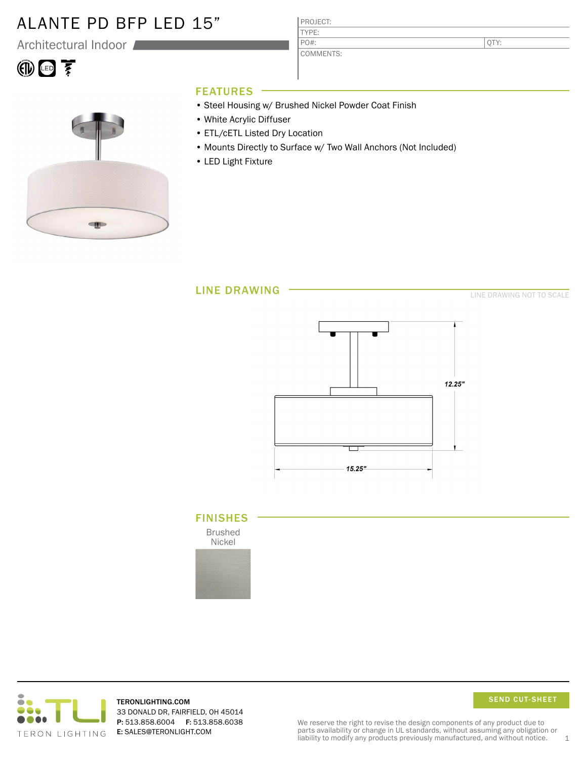### ALANTE PD BFP LED 15"

Architectural Indoor

# 10回至



### FEATURES

• Steel Housing w/ Brushed Nickel Powder Coat Finish

PROJECT: TYPE:

PO#:

COMMENTS:

- White Acrylic Diffuser
- ETL/cETL Listed Dry Location
- Mounts Directly to Surface w/ Two Wall Anchors (Not Included)
- LED Light Fixture



LINE DRAWING NOT TO SCALE

QTY:



### FINISHES

Brushed Nickel





TERONLIGHTING.COM 33 DONALD DR, FAIRFIELD, OH 45014 P: 513.858.6004 F: 513.858.6038 E: SALES@TERONLIGHT.COM

SEND CUT-SHEET

We reserve the right to revise the design components of any product due to parts availability or change in UL standards, without assuming any obligation or liability to modify any products previously manufactured, and without notice.  $1$